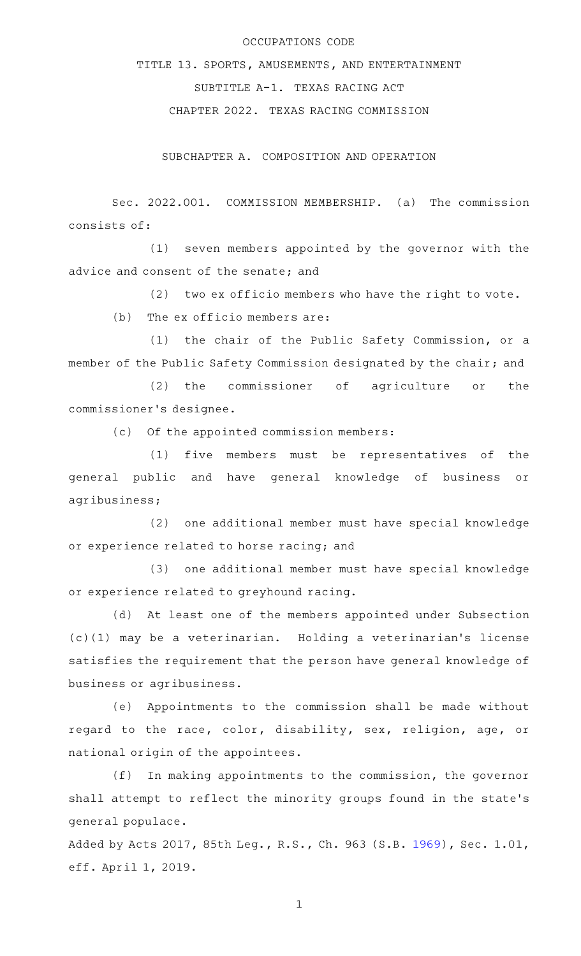## OCCUPATIONS CODE

TITLE 13. SPORTS, AMUSEMENTS, AND ENTERTAINMENT SUBTITLE A-1. TEXAS RACING ACT CHAPTER 2022. TEXAS RACING COMMISSION

SUBCHAPTER A. COMPOSITION AND OPERATION

Sec. 2022.001. COMMISSION MEMBERSHIP. (a) The commission consists of:

(1) seven members appointed by the governor with the advice and consent of the senate; and

 $(2)$  two ex officio members who have the right to vote.

 $(b)$  The ex officio members are:

(1) the chair of the Public Safety Commission, or a member of the Public Safety Commission designated by the chair; and

(2) the commissioner of agriculture or the commissioner 's designee.

(c) Of the appointed commission members:

 $(1)$  five members must be representatives of the general public and have general knowledge of business or agribusiness;

(2) one additional member must have special knowledge or experience related to horse racing; and

(3) one additional member must have special knowledge or experience related to greyhound racing.

(d) At least one of the members appointed under Subsection (c)(1) may be a veterinarian. Holding a veterinarian 's license satisfies the requirement that the person have general knowledge of business or agribusiness.

(e) Appointments to the commission shall be made without regard to the race, color, disability, sex, religion, age, or national origin of the appointees.

 $(f)$  In making appointments to the commission, the governor shall attempt to reflect the minority groups found in the state 's general populace.

Added by Acts 2017, 85th Leg., R.S., Ch. 963 (S.B. [1969](http://www.legis.state.tx.us/tlodocs/85R/billtext/html/SB01969F.HTM)), Sec. 1.01, eff. April 1, 2019.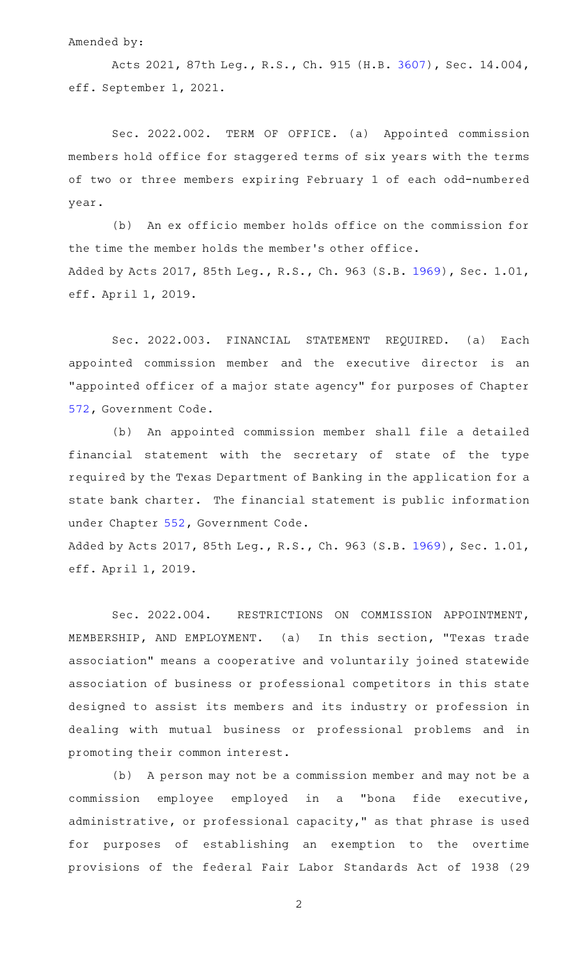Amended by:

Acts 2021, 87th Leg., R.S., Ch. 915 (H.B. [3607\)](http://www.legis.state.tx.us/tlodocs/87R/billtext/html/HB03607F.HTM), Sec. 14.004, eff. September 1, 2021.

Sec. 2022.002. TERM OF OFFICE. (a) Appointed commission members hold office for staggered terms of six years with the terms of two or three members expiring February 1 of each odd-numbered year.

(b) An ex officio member holds office on the commission for the time the member holds the member 's other office. Added by Acts 2017, 85th Leg., R.S., Ch. 963 (S.B. [1969](http://www.legis.state.tx.us/tlodocs/85R/billtext/html/SB01969F.HTM)), Sec. 1.01, eff. April 1, 2019.

Sec. 2022.003. FINANCIAL STATEMENT REQUIRED. (a) Each appointed commission member and the executive director is an "appointed officer of a major state agency" for purposes of Chapter [572,](https://statutes.capitol.texas.gov/GetStatute.aspx?Code=GV&Value=572) Government Code.

(b) An appointed commission member shall file a detailed financial statement with the secretary of state of the type required by the Texas Department of Banking in the application for a state bank charter. The financial statement is public information under Chapter [552](https://statutes.capitol.texas.gov/GetStatute.aspx?Code=GV&Value=552), Government Code.

Added by Acts 2017, 85th Leg., R.S., Ch. 963 (S.B. [1969](http://www.legis.state.tx.us/tlodocs/85R/billtext/html/SB01969F.HTM)), Sec. 1.01, eff. April 1, 2019.

Sec. 2022.004. RESTRICTIONS ON COMMISSION APPOINTMENT, MEMBERSHIP, AND EMPLOYMENT. (a) In this section, "Texas trade association" means a cooperative and voluntarily joined statewide association of business or professional competitors in this state designed to assist its members and its industry or profession in dealing with mutual business or professional problems and in promoting their common interest.

(b) A person may not be a commission member and may not be a commission employee employed in a "bona fide executive, administrative, or professional capacity," as that phrase is used for purposes of establishing an exemption to the overtime provisions of the federal Fair Labor Standards Act of 1938 (29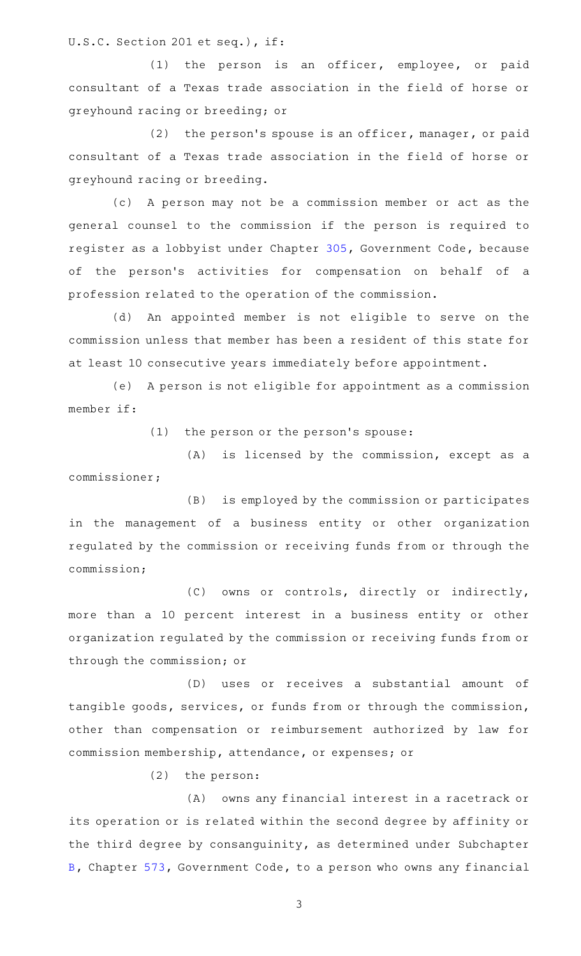U.S.C. Section 201 et seq.), if:

 $(1)$  the person is an officer, employee, or paid consultant of a Texas trade association in the field of horse or greyhound racing or breeding; or

 $(2)$  the person's spouse is an officer, manager, or paid consultant of a Texas trade association in the field of horse or greyhound racing or breeding.

(c) A person may not be a commission member or act as the general counsel to the commission if the person is required to register as a lobbyist under Chapter [305,](https://statutes.capitol.texas.gov/GetStatute.aspx?Code=GV&Value=305) Government Code, because of the person 's activities for compensation on behalf of a profession related to the operation of the commission.

(d) An appointed member is not eligible to serve on the commission unless that member has been a resident of this state for at least 10 consecutive years immediately before appointment.

(e) A person is not eligible for appointment as a commission member if:

(1) the person or the person's spouse:

 $(A)$  is licensed by the commission, except as a commissioner;

(B) is employed by the commission or participates in the management of a business entity or other organization regulated by the commission or receiving funds from or through the commission;

(C) owns or controls, directly or indirectly, more than a 10 percent interest in a business entity or other organization regulated by the commission or receiving funds from or through the commission; or

(D) uses or receives a substantial amount of tangible goods, services, or funds from or through the commission, other than compensation or reimbursement authorized by law for commission membership, attendance, or expenses; or

 $(2)$  the person:

(A) owns any financial interest in a racetrack or its operation or is related within the second degree by affinity or the third degree by consanguinity, as determined under Subchapter [B,](https://statutes.capitol.texas.gov/GetStatute.aspx?Code=GV&Value=573.021) Chapter [573](https://statutes.capitol.texas.gov/GetStatute.aspx?Code=GV&Value=573), Government Code, to a person who owns any financial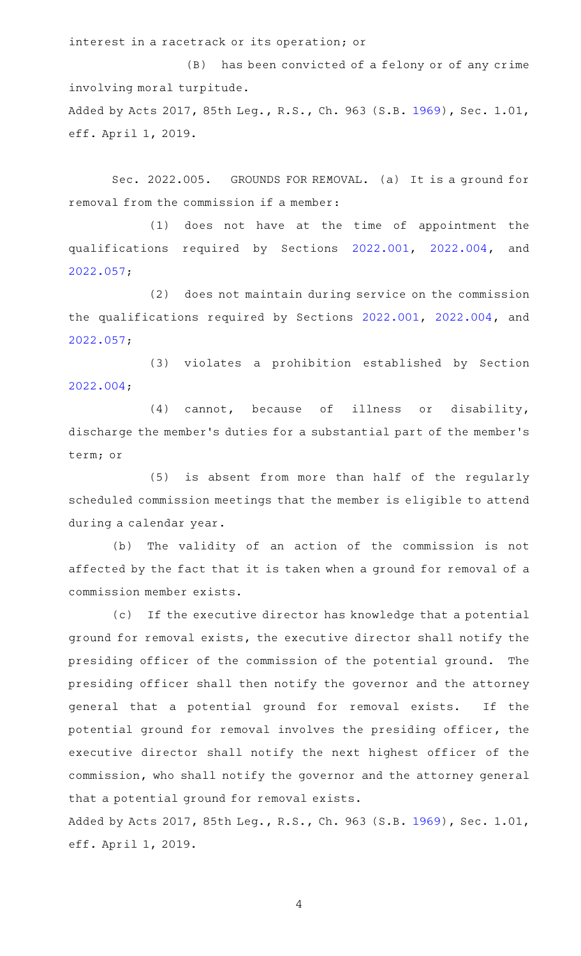interest in a racetrack or its operation; or

(B) has been convicted of a felony or of any crime involving moral turpitude. Added by Acts 2017, 85th Leg., R.S., Ch. 963 (S.B. [1969](http://www.legis.state.tx.us/tlodocs/85R/billtext/html/SB01969F.HTM)), Sec. 1.01, eff. April 1, 2019.

Sec. 2022.005. GROUNDS FOR REMOVAL. (a) It is a ground for removal from the commission if a member:

 $(1)$  does not have at the time of appointment the qualifications required by Sections [2022.001](https://statutes.capitol.texas.gov/GetStatute.aspx?Code=OC&Value=2022.001), [2022.004](https://statutes.capitol.texas.gov/GetStatute.aspx?Code=OC&Value=2022.004), and [2022.057](https://statutes.capitol.texas.gov/GetStatute.aspx?Code=OC&Value=2022.057);

(2) does not maintain during service on the commission the qualifications required by Sections [2022.001,](https://statutes.capitol.texas.gov/GetStatute.aspx?Code=OC&Value=2022.001) [2022.004,](https://statutes.capitol.texas.gov/GetStatute.aspx?Code=OC&Value=2022.004) and [2022.057](https://statutes.capitol.texas.gov/GetStatute.aspx?Code=OC&Value=2022.057);

(3) violates a prohibition established by Section [2022.004](https://statutes.capitol.texas.gov/GetStatute.aspx?Code=OC&Value=2022.004);

 $(4)$  cannot, because of illness or disability, discharge the member 's duties for a substantial part of the member 's term; or

(5) is absent from more than half of the regularly scheduled commission meetings that the member is eligible to attend during a calendar year.

(b) The validity of an action of the commission is not affected by the fact that it is taken when a ground for removal of a commission member exists.

(c) If the executive director has knowledge that a potential ground for removal exists, the executive director shall notify the presiding officer of the commission of the potential ground. The presiding officer shall then notify the governor and the attorney general that a potential ground for removal exists. If the potential ground for removal involves the presiding officer, the executive director shall notify the next highest officer of the commission, who shall notify the governor and the attorney general that a potential ground for removal exists.

Added by Acts 2017, 85th Leg., R.S., Ch. 963 (S.B. [1969](http://www.legis.state.tx.us/tlodocs/85R/billtext/html/SB01969F.HTM)), Sec. 1.01, eff. April 1, 2019.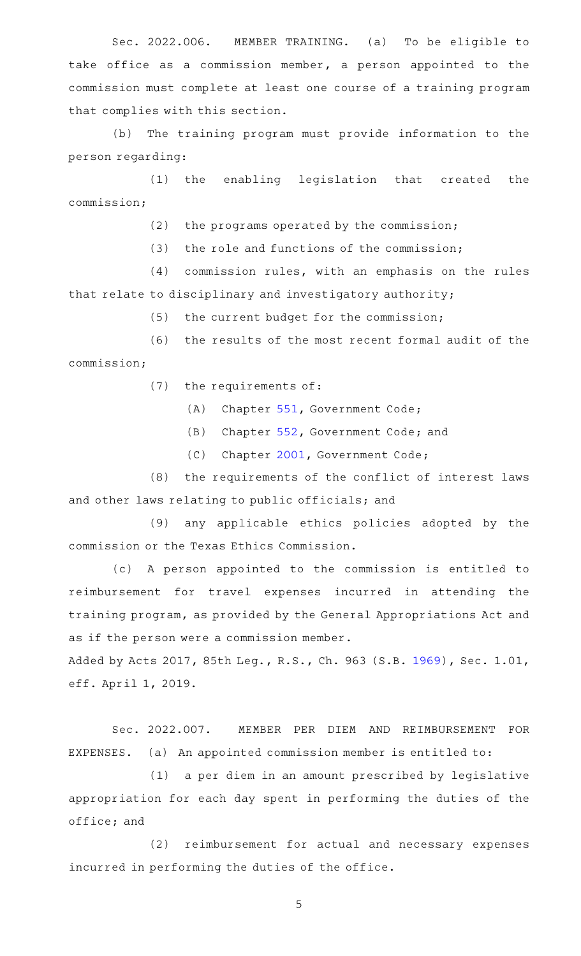Sec. 2022.006. MEMBER TRAINING. (a) To be eligible to take office as a commission member, a person appointed to the commission must complete at least one course of a training program that complies with this section.

(b) The training program must provide information to the person regarding:

(1) the enabling legislation that created the commission;

 $(2)$  the programs operated by the commission;

(3) the role and functions of the commission;

 $(4)$  commission rules, with an emphasis on the rules that relate to disciplinary and investigatory authority;

 $(5)$  the current budget for the commission;

(6) the results of the most recent formal audit of the commission;

(7) the requirements of:

(A) Chapter [551,](https://statutes.capitol.texas.gov/GetStatute.aspx?Code=GV&Value=551) Government Code;

(B) Chapter [552,](https://statutes.capitol.texas.gov/GetStatute.aspx?Code=GV&Value=552) Government Code; and

(C) Chapter [2001](https://statutes.capitol.texas.gov/GetStatute.aspx?Code=GV&Value=2001), Government Code;

 $(8)$  the requirements of the conflict of interest laws and other laws relating to public officials; and

(9) any applicable ethics policies adopted by the commission or the Texas Ethics Commission.

(c)AAA person appointed to the commission is entitled to reimbursement for travel expenses incurred in attending the training program, as provided by the General Appropriations Act and as if the person were a commission member.

Added by Acts 2017, 85th Leg., R.S., Ch. 963 (S.B. [1969](http://www.legis.state.tx.us/tlodocs/85R/billtext/html/SB01969F.HTM)), Sec. 1.01, eff. April 1, 2019.

Sec. 2022.007. MEMBER PER DIEM AND REIMBURSEMENT FOR EXPENSES. (a) An appointed commission member is entitled to:

(1) a per diem in an amount prescribed by legislative appropriation for each day spent in performing the duties of the office; and

(2) reimbursement for actual and necessary expenses incurred in performing the duties of the office.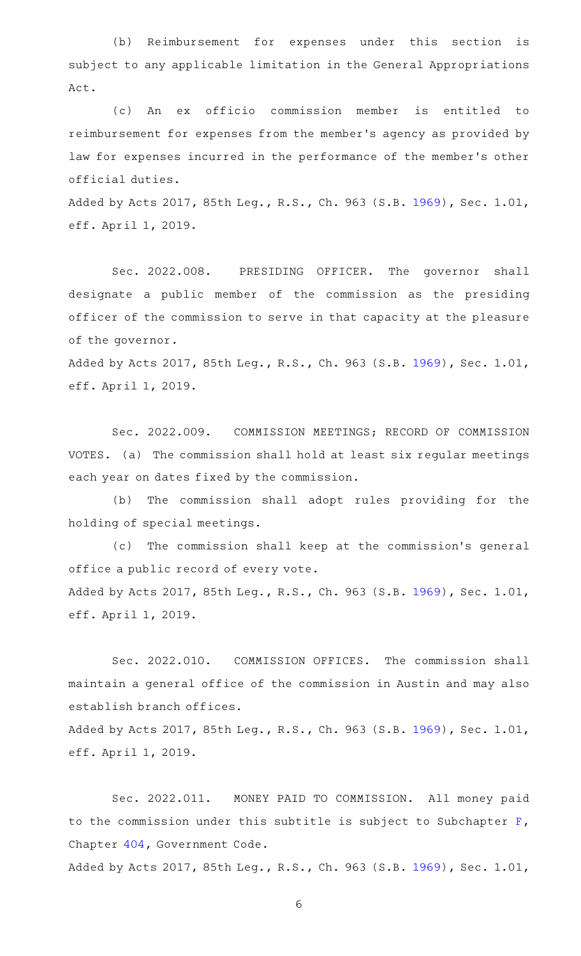(b) Reimbursement for expenses under this section is subject to any applicable limitation in the General Appropriations Act.

(c)AAAn ex officio commission member is entitled to reimbursement for expenses from the member 's agency as provided by law for expenses incurred in the performance of the member 's other official duties.

Added by Acts 2017, 85th Leg., R.S., Ch. 963 (S.B. [1969](http://www.legis.state.tx.us/tlodocs/85R/billtext/html/SB01969F.HTM)), Sec. 1.01, eff. April 1, 2019.

Sec. 2022.008. PRESIDING OFFICER. The governor shall designate a public member of the commission as the presiding officer of the commission to serve in that capacity at the pleasure of the governor.

Added by Acts 2017, 85th Leg., R.S., Ch. 963 (S.B. [1969](http://www.legis.state.tx.us/tlodocs/85R/billtext/html/SB01969F.HTM)), Sec. 1.01, eff. April 1, 2019.

Sec. 2022.009. COMMISSION MEETINGS; RECORD OF COMMISSION VOTES. (a) The commission shall hold at least six regular meetings each year on dates fixed by the commission.

(b) The commission shall adopt rules providing for the holding of special meetings.

(c) The commission shall keep at the commission's general office a public record of every vote. Added by Acts 2017, 85th Leg., R.S., Ch. 963 (S.B. [1969](http://www.legis.state.tx.us/tlodocs/85R/billtext/html/SB01969F.HTM)), Sec. 1.01, eff. April 1, 2019.

Sec. 2022.010. COMMISSION OFFICES. The commission shall maintain a general office of the commission in Austin and may also establish branch offices.

Added by Acts 2017, 85th Leg., R.S., Ch. 963 (S.B. [1969](http://www.legis.state.tx.us/tlodocs/85R/billtext/html/SB01969F.HTM)), Sec. 1.01, eff. April 1, 2019.

Sec. 2022.011. MONEY PAID TO COMMISSION. All money paid to the commission under this subtitle is subject to Subchapter [F](https://statutes.capitol.texas.gov/GetStatute.aspx?Code=GV&Value=404.091), Chapter [404,](https://statutes.capitol.texas.gov/GetStatute.aspx?Code=GV&Value=404) Government Code.

Added by Acts 2017, 85th Leg., R.S., Ch. 963 (S.B. [1969](http://www.legis.state.tx.us/tlodocs/85R/billtext/html/SB01969F.HTM)), Sec. 1.01,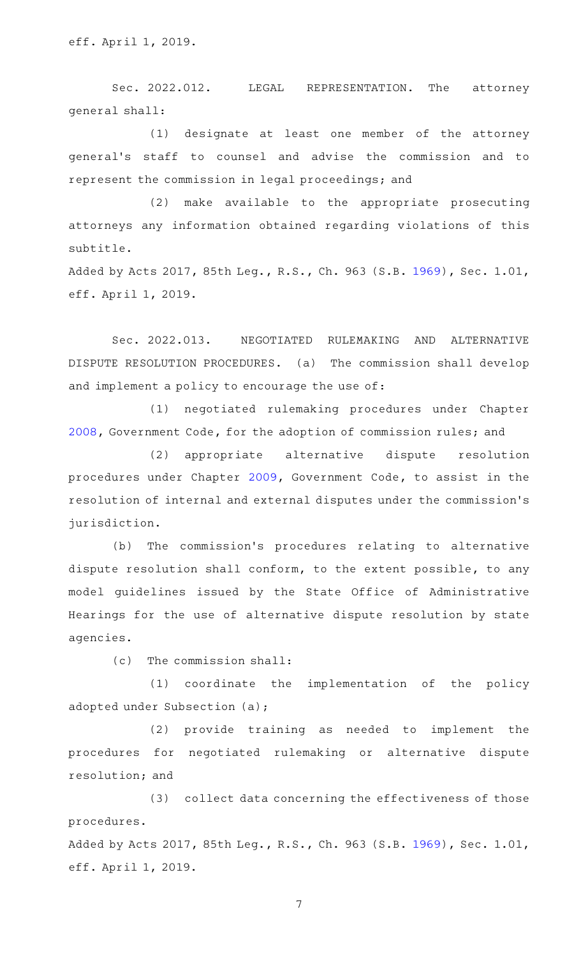Sec. 2022.012. LEGAL REPRESENTATION. The attorney general shall:

(1) designate at least one member of the attorney general 's staff to counsel and advise the commission and to represent the commission in legal proceedings; and

(2) make available to the appropriate prosecuting attorneys any information obtained regarding violations of this subtitle.

Added by Acts 2017, 85th Leg., R.S., Ch. 963 (S.B. [1969](http://www.legis.state.tx.us/tlodocs/85R/billtext/html/SB01969F.HTM)), Sec. 1.01, eff. April 1, 2019.

Sec. 2022.013. NEGOTIATED RULEMAKING AND ALTERNATIVE DISPUTE RESOLUTION PROCEDURES. (a) The commission shall develop and implement a policy to encourage the use of:

(1) negotiated rulemaking procedures under Chapter [2008](https://statutes.capitol.texas.gov/GetStatute.aspx?Code=GV&Value=2008), Government Code, for the adoption of commission rules; and

(2) appropriate alternative dispute resolution procedures under Chapter [2009,](https://statutes.capitol.texas.gov/GetStatute.aspx?Code=GV&Value=2009) Government Code, to assist in the resolution of internal and external disputes under the commission 's jurisdiction.

(b) The commission's procedures relating to alternative dispute resolution shall conform, to the extent possible, to any model guidelines issued by the State Office of Administrative Hearings for the use of alternative dispute resolution by state agencies.

 $(c)$  The commission shall:

 $(1)$  coordinate the implementation of the policy adopted under Subsection (a);

(2) provide training as needed to implement the procedures for negotiated rulemaking or alternative dispute resolution; and

(3) collect data concerning the effectiveness of those procedures.

Added by Acts 2017, 85th Leg., R.S., Ch. 963 (S.B. [1969](http://www.legis.state.tx.us/tlodocs/85R/billtext/html/SB01969F.HTM)), Sec. 1.01, eff. April 1, 2019.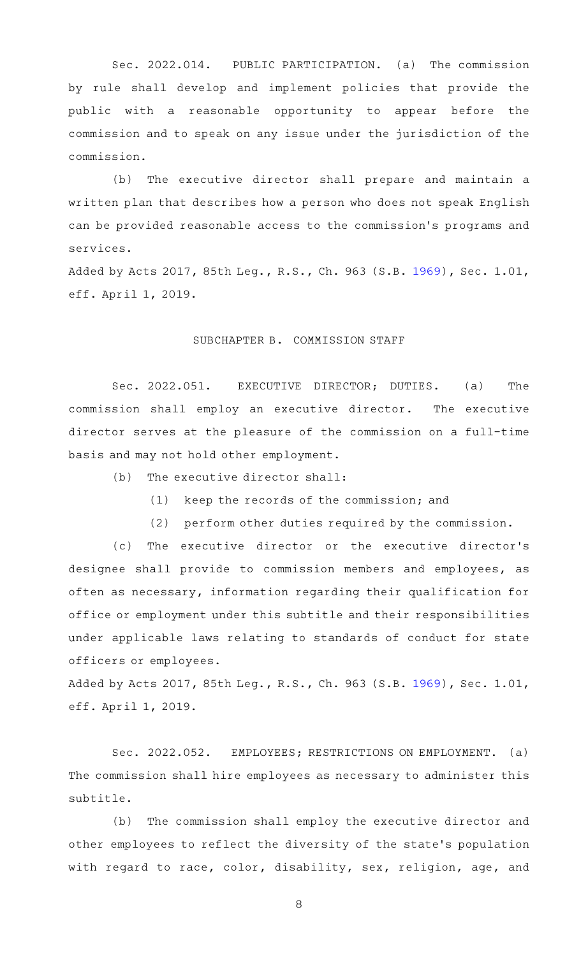Sec. 2022.014. PUBLIC PARTICIPATION. (a) The commission by rule shall develop and implement policies that provide the public with a reasonable opportunity to appear before the commission and to speak on any issue under the jurisdiction of the commission.

(b) The executive director shall prepare and maintain a written plan that describes how a person who does not speak English can be provided reasonable access to the commission 's programs and services.

Added by Acts 2017, 85th Leg., R.S., Ch. 963 (S.B. [1969](http://www.legis.state.tx.us/tlodocs/85R/billtext/html/SB01969F.HTM)), Sec. 1.01, eff. April 1, 2019.

## SUBCHAPTER B. COMMISSION STAFF

Sec. 2022.051. EXECUTIVE DIRECTOR; DUTIES. (a) The commission shall employ an executive director. The executive director serves at the pleasure of the commission on a full-time basis and may not hold other employment.

 $(b)$  The executive director shall:

- (1) keep the records of the commission; and
- (2) perform other duties required by the commission.

(c) The executive director or the executive director's designee shall provide to commission members and employees, as often as necessary, information regarding their qualification for office or employment under this subtitle and their responsibilities under applicable laws relating to standards of conduct for state officers or employees.

Added by Acts 2017, 85th Leg., R.S., Ch. 963 (S.B. [1969](http://www.legis.state.tx.us/tlodocs/85R/billtext/html/SB01969F.HTM)), Sec. 1.01, eff. April 1, 2019.

Sec. 2022.052. EMPLOYEES; RESTRICTIONS ON EMPLOYMENT. (a) The commission shall hire employees as necessary to administer this subtitle.

(b) The commission shall employ the executive director and other employees to reflect the diversity of the state 's population with regard to race, color, disability, sex, religion, age, and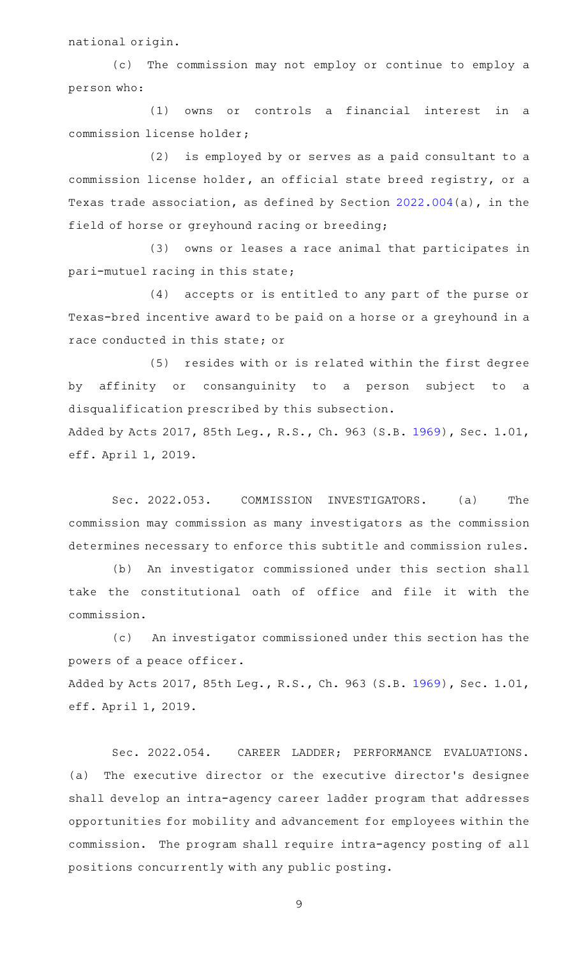national origin.

(c) The commission may not employ or continue to employ a person who:

 $(1)$  owns or controls a financial interest in a commission license holder;

(2) is employed by or serves as a paid consultant to a commission license holder, an official state breed registry, or a Texas trade association, as defined by Section [2022.004\(](https://statutes.capitol.texas.gov/GetStatute.aspx?Code=OC&Value=2022.004)a), in the field of horse or greyhound racing or breeding;

(3) owns or leases a race animal that participates in pari-mutuel racing in this state;

(4) accepts or is entitled to any part of the purse or Texas-bred incentive award to be paid on a horse or a greyhound in a race conducted in this state; or

(5) resides with or is related within the first degree by affinity or consanguinity to a person subject to a disqualification prescribed by this subsection. Added by Acts 2017, 85th Leg., R.S., Ch. 963 (S.B. [1969](http://www.legis.state.tx.us/tlodocs/85R/billtext/html/SB01969F.HTM)), Sec. 1.01,

eff. April 1, 2019.

Sec. 2022.053. COMMISSION INVESTIGATORS. (a) The commission may commission as many investigators as the commission determines necessary to enforce this subtitle and commission rules.

(b) An investigator commissioned under this section shall take the constitutional oath of office and file it with the commission.

(c) An investigator commissioned under this section has the powers of a peace officer.

Added by Acts 2017, 85th Leg., R.S., Ch. 963 (S.B. [1969](http://www.legis.state.tx.us/tlodocs/85R/billtext/html/SB01969F.HTM)), Sec. 1.01, eff. April 1, 2019.

Sec. 2022.054. CAREER LADDER; PERFORMANCE EVALUATIONS. (a) The executive director or the executive director's designee shall develop an intra-agency career ladder program that addresses opportunities for mobility and advancement for employees within the commission. The program shall require intra-agency posting of all positions concurrently with any public posting.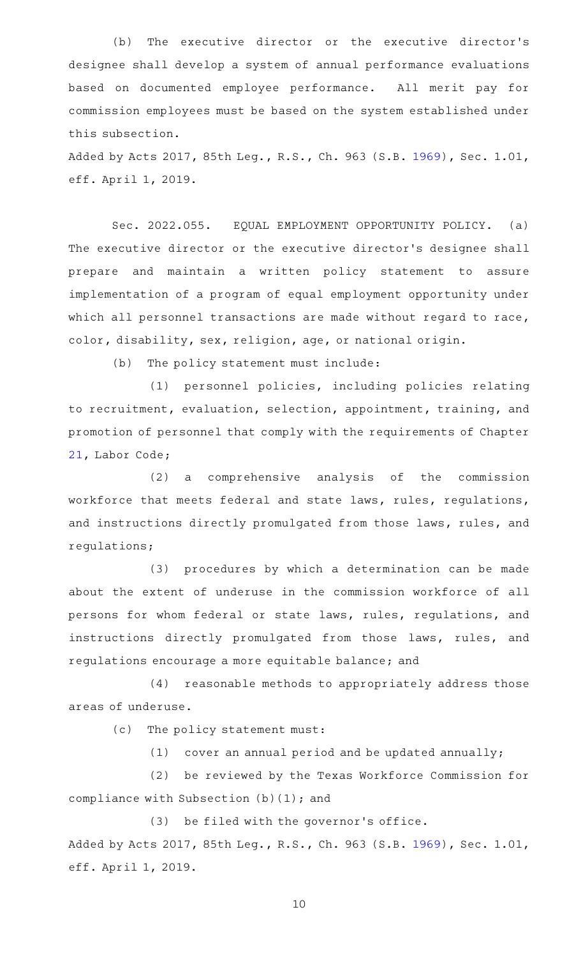(b) The executive director or the executive director's designee shall develop a system of annual performance evaluations based on documented employee performance. All merit pay for commission employees must be based on the system established under this subsection.

Added by Acts 2017, 85th Leg., R.S., Ch. 963 (S.B. [1969](http://www.legis.state.tx.us/tlodocs/85R/billtext/html/SB01969F.HTM)), Sec. 1.01, eff. April 1, 2019.

Sec. 2022.055. EQUAL EMPLOYMENT OPPORTUNITY POLICY. (a) The executive director or the executive director 's designee shall prepare and maintain a written policy statement to assure implementation of a program of equal employment opportunity under which all personnel transactions are made without regard to race, color, disability, sex, religion, age, or national origin.

(b) The policy statement must include:

(1) personnel policies, including policies relating to recruitment, evaluation, selection, appointment, training, and promotion of personnel that comply with the requirements of Chapter [21](https://statutes.capitol.texas.gov/GetStatute.aspx?Code=LA&Value=21), Labor Code;

 $(2)$  a comprehensive analysis of the commission workforce that meets federal and state laws, rules, regulations, and instructions directly promulgated from those laws, rules, and regulations;

(3) procedures by which a determination can be made about the extent of underuse in the commission workforce of all persons for whom federal or state laws, rules, regulations, and instructions directly promulgated from those laws, rules, and regulations encourage a more equitable balance; and

(4) reasonable methods to appropriately address those areas of underuse.

(c) The policy statement must:

(1) cover an annual period and be updated annually;

(2) be reviewed by the Texas Workforce Commission for compliance with Subsection (b)(1); and

(3) be filed with the governor's office. Added by Acts 2017, 85th Leg., R.S., Ch. 963 (S.B. [1969](http://www.legis.state.tx.us/tlodocs/85R/billtext/html/SB01969F.HTM)), Sec. 1.01, eff. April 1, 2019.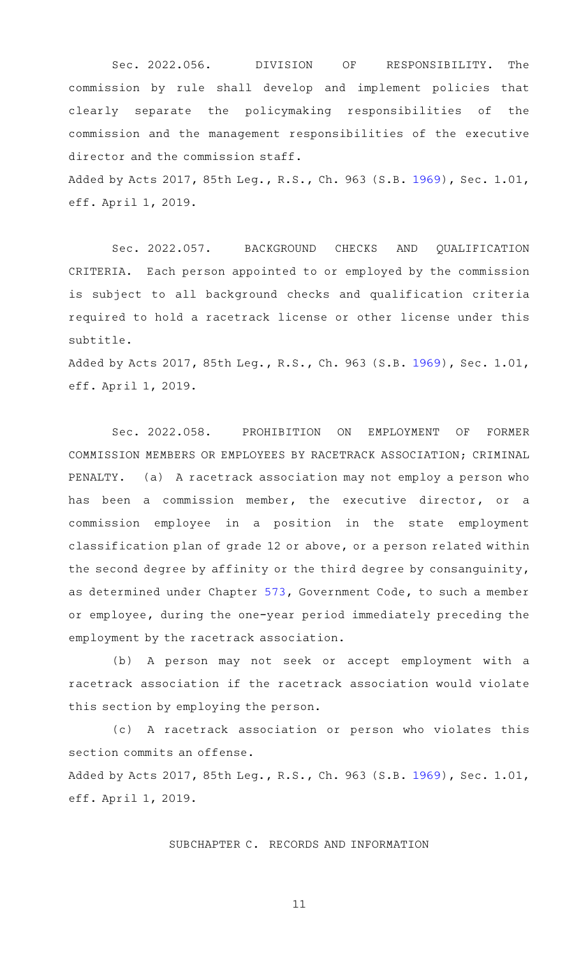Sec. 2022.056. DIVISION OF RESPONSIBILITY. The commission by rule shall develop and implement policies that clearly separate the policymaking responsibilities of the commission and the management responsibilities of the executive director and the commission staff.

Added by Acts 2017, 85th Leg., R.S., Ch. 963 (S.B. [1969](http://www.legis.state.tx.us/tlodocs/85R/billtext/html/SB01969F.HTM)), Sec. 1.01, eff. April 1, 2019.

Sec. 2022.057. BACKGROUND CHECKS AND QUALIFICATION CRITERIA. Each person appointed to or employed by the commission is subject to all background checks and qualification criteria required to hold a racetrack license or other license under this subtitle.

Added by Acts 2017, 85th Leg., R.S., Ch. 963 (S.B. [1969](http://www.legis.state.tx.us/tlodocs/85R/billtext/html/SB01969F.HTM)), Sec. 1.01, eff. April 1, 2019.

Sec. 2022.058. PROHIBITION ON EMPLOYMENT OF FORMER COMMISSION MEMBERS OR EMPLOYEES BY RACETRACK ASSOCIATION; CRIMINAL PENALTY. (a) A racetrack association may not employ a person who has been a commission member, the executive director, or a commission employee in a position in the state employment classification plan of grade 12 or above, or a person related within the second degree by affinity or the third degree by consanguinity, as determined under Chapter [573](https://statutes.capitol.texas.gov/GetStatute.aspx?Code=GV&Value=573), Government Code, to such a member or employee, during the one-year period immediately preceding the employment by the racetrack association.

(b) A person may not seek or accept employment with a racetrack association if the racetrack association would violate this section by employing the person.

(c)AAA racetrack association or person who violates this section commits an offense.

Added by Acts 2017, 85th Leg., R.S., Ch. 963 (S.B. [1969](http://www.legis.state.tx.us/tlodocs/85R/billtext/html/SB01969F.HTM)), Sec. 1.01, eff. April 1, 2019.

SUBCHAPTER C. RECORDS AND INFORMATION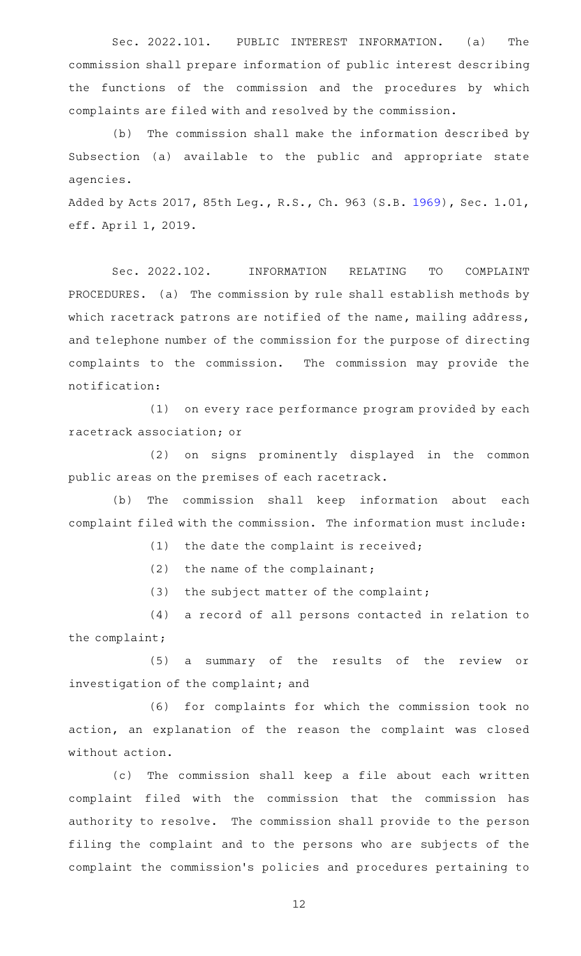Sec. 2022.101. PUBLIC INTEREST INFORMATION. (a) The commission shall prepare information of public interest describing the functions of the commission and the procedures by which complaints are filed with and resolved by the commission.

(b) The commission shall make the information described by Subsection (a) available to the public and appropriate state agencies.

Added by Acts 2017, 85th Leg., R.S., Ch. 963 (S.B. [1969](http://www.legis.state.tx.us/tlodocs/85R/billtext/html/SB01969F.HTM)), Sec. 1.01, eff. April 1, 2019.

Sec. 2022.102. INFORMATION RELATING TO COMPLAINT PROCEDURES. (a) The commission by rule shall establish methods by which racetrack patrons are notified of the name, mailing address, and telephone number of the commission for the purpose of directing complaints to the commission. The commission may provide the notification:

(1) on every race performance program provided by each racetrack association; or

(2) on signs prominently displayed in the common public areas on the premises of each racetrack.

(b) The commission shall keep information about each complaint filed with the commission. The information must include:

 $(1)$  the date the complaint is received;

(2) the name of the complainant;

 $(3)$  the subject matter of the complaint;

(4) a record of all persons contacted in relation to the complaint;

(5) a summary of the results of the review or investigation of the complaint; and

(6) for complaints for which the commission took no action, an explanation of the reason the complaint was closed without action.

(c) The commission shall keep a file about each written complaint filed with the commission that the commission has authority to resolve. The commission shall provide to the person filing the complaint and to the persons who are subjects of the complaint the commission 's policies and procedures pertaining to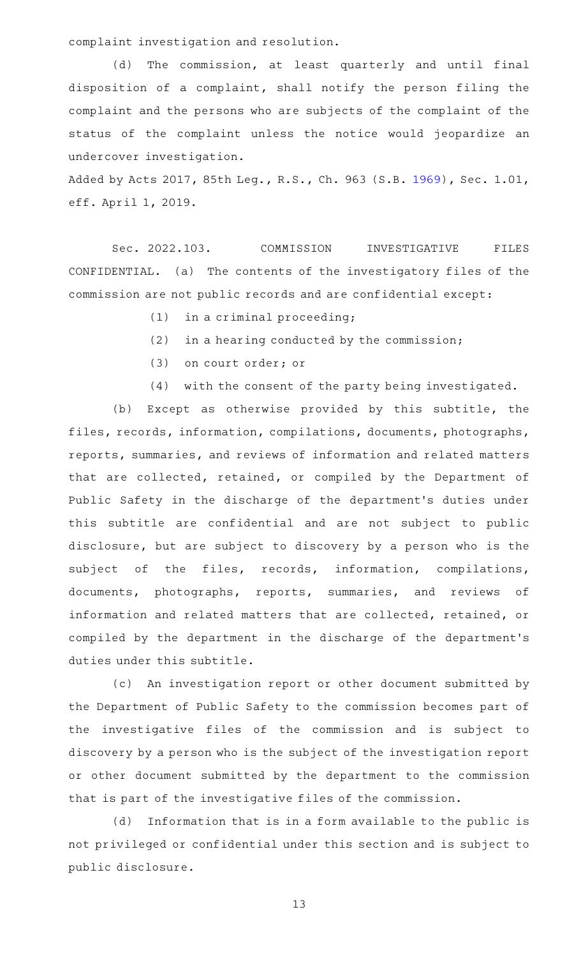complaint investigation and resolution.

(d) The commission, at least quarterly and until final disposition of a complaint, shall notify the person filing the complaint and the persons who are subjects of the complaint of the status of the complaint unless the notice would jeopardize an undercover investigation.

Added by Acts 2017, 85th Leg., R.S., Ch. 963 (S.B. [1969](http://www.legis.state.tx.us/tlodocs/85R/billtext/html/SB01969F.HTM)), Sec. 1.01, eff. April 1, 2019.

Sec. 2022.103. COMMISSION INVESTIGATIVE FILES CONFIDENTIAL. (a) The contents of the investigatory files of the commission are not public records and are confidential except:

- $(1)$  in a criminal proceeding;
- $(2)$  in a hearing conducted by the commission;
- (3) on court order; or
- (4) with the consent of the party being investigated.

(b) Except as otherwise provided by this subtitle, the files, records, information, compilations, documents, photographs, reports, summaries, and reviews of information and related matters that are collected, retained, or compiled by the Department of Public Safety in the discharge of the department 's duties under this subtitle are confidential and are not subject to public disclosure, but are subject to discovery by a person who is the subject of the files, records, information, compilations, documents, photographs, reports, summaries, and reviews of information and related matters that are collected, retained, or compiled by the department in the discharge of the department 's duties under this subtitle.

(c) An investigation report or other document submitted by the Department of Public Safety to the commission becomes part of the investigative files of the commission and is subject to discovery by a person who is the subject of the investigation report or other document submitted by the department to the commission that is part of the investigative files of the commission.

(d) Information that is in a form available to the public is not privileged or confidential under this section and is subject to public disclosure.